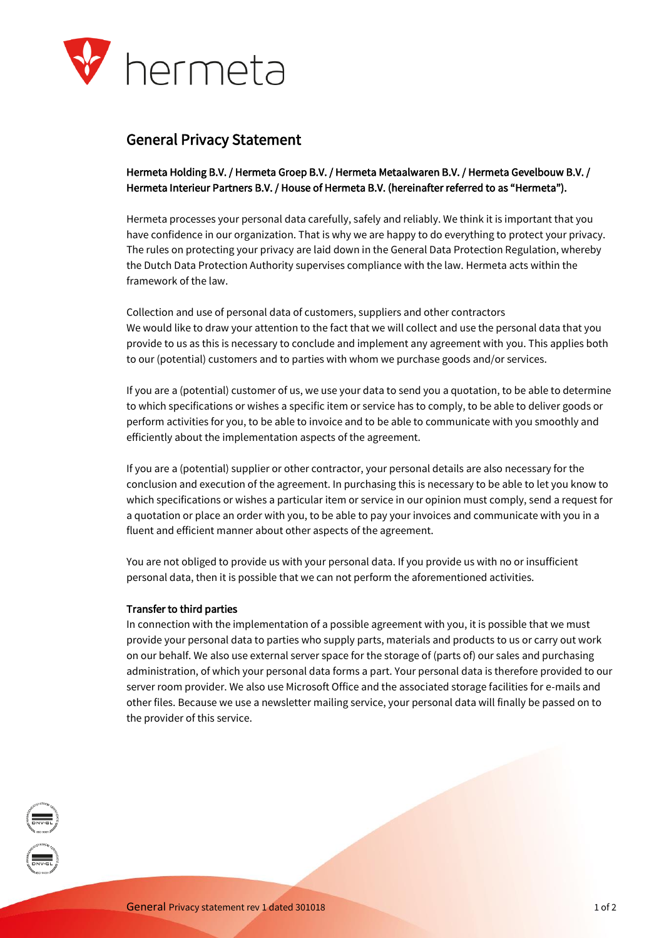

# General Privacy Statement

Hermeta Holding B.V. / Hermeta Groep B.V. / Hermeta Metaalwaren B.V. / Hermeta Gevelbouw B.V. / Hermeta Interieur Partners B.V. / House of Hermeta B.V. (hereinafter referred to as "Hermeta").

Hermeta processes your personal data carefully, safely and reliably. We think it is important that you have confidence in our organization. That is why we are happy to do everything to protect your privacy. The rules on protecting your privacy are laid down in the General Data Protection Regulation, whereby the Dutch Data Protection Authority supervises compliance with the law. Hermeta acts within the framework of the law.

Collection and use of personal data of customers, suppliers and other contractors We would like to draw your attention to the fact that we will collect and use the personal data that you provide to us as this is necessary to conclude and implement any agreement with you. This applies both to our (potential) customers and to parties with whom we purchase goods and/or services.

If you are a (potential) customer of us, we use your data to send you a quotation, to be able to determine to which specifications or wishes a specific item or service has to comply, to be able to deliver goods or perform activities for you, to be able to invoice and to be able to communicate with you smoothly and efficiently about the implementation aspects of the agreement.

If you are a (potential) supplier or other contractor, your personal details are also necessary for the conclusion and execution of the agreement. In purchasing this is necessary to be able to let you know to which specifications or wishes a particular item or service in our opinion must comply, send a request for a quotation or place an order with you, to be able to pay your invoices and communicate with you in a fluent and efficient manner about other aspects of the agreement.

You are not obliged to provide us with your personal data. If you provide us with no or insufficient personal data, then it is possible that we can not perform the aforementioned activities.

#### Transfer to third parties

In connection with the implementation of a possible agreement with you, it is possible that we must provide your personal data to parties who supply parts, materials and products to us or carry out work on our behalf. We also use external server space for the storage of (parts of) our sales and purchasing administration, of which your personal data forms a part. Your personal data is therefore provided to our server room provider. We also use Microsoft Office and the associated storage facilities for e-mails and other files. Because we use a newsletter mailing service, your personal data will finally be passed on to the provider of this service.